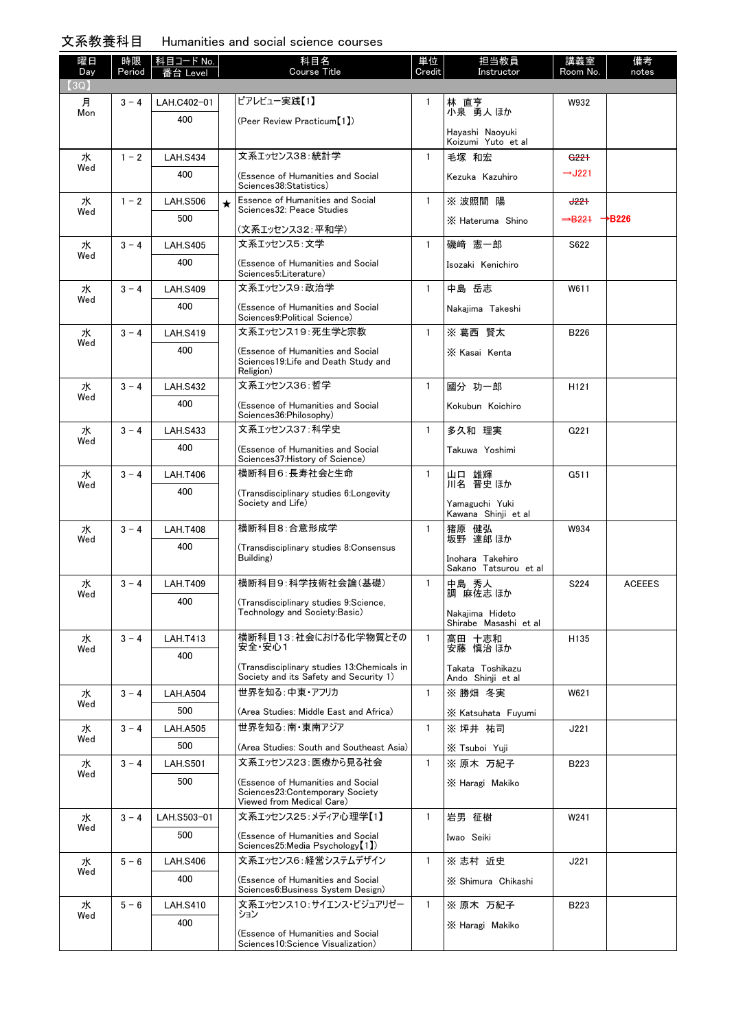## 文系教養科目 Humanities and social science courses

| 曜日<br>Day | 時限<br>Period | │科目コード No.<br>番台 Level |         | 科目名<br><b>Course Title</b>                                                                         | 単位<br>Credit | 担当教員<br>Instructor                        | 講義室<br>Room No.                       | 備考<br>notes   |
|-----------|--------------|------------------------|---------|----------------------------------------------------------------------------------------------------|--------------|-------------------------------------------|---------------------------------------|---------------|
| (3Q)      |              |                        |         |                                                                                                    |              |                                           |                                       |               |
| 月<br>Mon  | $3 - 4$      | LAH.C402-01            |         | ピアレビュー実践【1】                                                                                        | 1            | 林 直亨<br>小泉 勇人 ほか                          | W932                                  |               |
|           |              | 400                    |         | (Peer Review Practicum [1])                                                                        |              | Havashi Naovuki<br>Koizumi Yuto et al     |                                       |               |
| 水         | $1 - 2$      | <b>LAH.S434</b>        |         | 文系エッセンス38:統計学                                                                                      | $\mathbf{1}$ | 毛塚 和宏                                     | G <sub>221</sub>                      |               |
| Wed       |              | 400                    |         | (Essence of Humanities and Social<br>Sciences38:Statistics)                                        |              | Kezuka Kazuhiro                           | $-$ J221                              |               |
| 水<br>Wed  | $1 - 2$      | <b>LAH.S506</b>        | $\star$ | Essence of Humanities and Social<br>Sciences32: Peace Studies                                      | $\mathbf{1}$ | ※ 波照間 陽                                   | J221                                  |               |
|           |              | 500                    |         | (文系エッセンス32:平和学)                                                                                    |              | X Hateruma Shino                          | $\rightarrow$ B221 $\rightarrow$ B226 |               |
| 水         | $3 - 4$      | <b>LAH.S405</b>        |         | 文系エッセンス5:文学                                                                                        | $\mathbf{1}$ | 磯﨑 憲一郎                                    | S622                                  |               |
| Wed       |              | 400                    |         | (Essence of Humanities and Social                                                                  |              | Isozaki Kenichiro                         |                                       |               |
|           |              |                        |         | Sciences5:Literature)                                                                              |              |                                           |                                       |               |
| 水<br>Wed  | $3 - 4$      | <b>LAH S409</b>        |         | 文系エッセンス9:政治学                                                                                       | $\mathbf{1}$ | 中島 岳志                                     | W611                                  |               |
|           |              | 400                    |         | (Essence of Humanities and Social<br>Sciences9: Political Science)                                 |              | Nakaiima Takeshi                          |                                       |               |
| 水         | $3 - 4$      | <b>LAH.S419</b>        |         | 文系エッセンス19:死生学と宗教                                                                                   | $\mathbf{1}$ | ※ 葛西 賢太                                   | B226                                  |               |
| Wed       |              | 400                    |         | (Essence of Humanities and Social<br>Sciences19: Life and Death Study and<br>Religion)             |              | X Kasai Kenta                             |                                       |               |
| 水         | $3 - 4$      | <b>LAH.S432</b>        |         | 文系エッセンス36:哲学                                                                                       | $\mathbf{1}$ | 國分 功一郎                                    | H <sub>121</sub>                      |               |
| Wed       |              | 400                    |         | (Essence of Humanities and Social<br>Sciences36: Philosophy)                                       |              | Kokubun Koichiro                          |                                       |               |
| 水         | $3 - 4$      | <b>LAH.S433</b>        |         | 文系エッセンス37:科学史                                                                                      | $\mathbf{1}$ | 多久和 理実                                    | G221                                  |               |
| Wed       |              | 400                    |         | (Essence of Humanities and Social<br>Sciences37: History of Science)                               |              | Takuwa Yoshimi                            |                                       |               |
| 水<br>Wed  | $3 - 4$      | <b>LAH.T406</b>        |         | 横断科目6:長寿社会と生命                                                                                      | $\mathbf{1}$ | 山口 雄輝<br>川名 晋史 ほか                         | G511                                  |               |
|           |              | 400                    |         | (Transdisciplinary studies 6: Longevity<br>Society and Life)                                       |              | Yamaguchi Yuki<br>Kawana Shinji et al     |                                       |               |
| 水         | $3 - 4$      | <b>LAH.T408</b>        |         | 横断科目8:合意形成学                                                                                        | $\mathbf{1}$ | 猪原 健弘                                     | W934                                  |               |
| Wed       |              | 400                    |         | (Transdisciplinary studies 8:Consensus                                                             |              | 坂野 達郎 ほか                                  |                                       |               |
|           |              |                        |         | Building)                                                                                          |              | Inohara Takehiro<br>Sakano Tatsurou et al |                                       |               |
| 水<br>Wed  | $3 - 4$      | <b>LAH.T409</b>        |         | 横断科目9:科学技術社会論(基礎)                                                                                  | $\mathbf{1}$ | 中島 秀人<br>調 麻佐志 ほか                         | S224                                  | <b>ACEEES</b> |
|           |              | 400                    |         | (Transdisciplinary studies 9:Science,<br>Technology and Society: Basic)                            |              | Nakajima Hideto<br>Shirabe Masashi et al  |                                       |               |
| 水         | $3 - 4$      | <b>LAH.T413</b>        |         | 横断科目13:社会における化学物質とその                                                                               | $\mathbf{1}$ | 高田 十志和                                    | H135                                  |               |
| Wed       |              | 400                    |         | 安全・安心1                                                                                             |              | 安藤 慎治 ほか                                  |                                       |               |
|           |              |                        |         | (Transdisciplinary studies 13:Chemicals in<br>Society and its Safety and Security 1)               |              | Takata Toshikazu<br>Ando Shinji et al     |                                       |               |
| 水<br>Wed  | $3 - 4$      | <b>LAH.A504</b>        |         | 世界を知る:中東・アフリカ                                                                                      | $\mathbf{1}$ | ※勝畑 冬実                                    | W621                                  |               |
|           |              | 500                    |         | (Area Studies: Middle East and Africa)                                                             |              | X Katsuhata Fuyumi                        |                                       |               |
| 水<br>Wed  | $3 - 4$      | <b>LAH.A505</b>        |         | 世界を知る 南・東南アジア                                                                                      | $\mathbf{1}$ | ※ 坪井 祐司                                   | J221                                  |               |
|           |              | 500                    |         | (Area Studies: South and Southeast Asia)                                                           |              | X Tsuboi Yuji                             |                                       |               |
| 水<br>Wed  | $3 - 4$      | <b>LAH.S501</b>        |         | 文系エッセンス23: 医療から見る社会                                                                                | $\mathbf{1}$ | ※ 原木 万紀子                                  | B223                                  |               |
|           |              | 500                    |         | (Essence of Humanities and Social<br>Sciences23: Contemporary Society<br>Viewed from Medical Care) |              | X Haragi Makiko                           |                                       |               |
| 水<br>Wed  | $3 - 4$      | LAH.S503-01            |         | 文系エッセンス25:メディア心理学【1】                                                                               | 1            | 岩男 征樹                                     | W241                                  |               |
|           |              | 500                    |         | (Essence of Humanities and Social<br>Sciences25:Media Psychology [1])                              |              | Iwao Seiki                                |                                       |               |
| 水         | $5 - 6$      | <b>LAH.S406</b>        |         | 文系エッセンス6:経営システムデザイン                                                                                | $\mathbf{1}$ | ※ 志村 近史                                   | J221                                  |               |
| Wed       |              | 400                    |         | (Essence of Humanities and Social<br>Sciences6: Business System Design)                            |              | X Shimura Chikashi                        |                                       |               |
| 水<br>Wed  | $5 - 6$      | <b>LAH.S410</b>        |         | 文系エッセンス10:サイエンス・ビジュアリゼー<br>ション                                                                     | $\mathbf{1}$ | ※ 原木 万紀子                                  | B223                                  |               |
|           |              | 400                    |         | (Essence of Humanities and Social<br>Sciences10:Science Visualization)                             |              | X Haragi Makiko                           |                                       |               |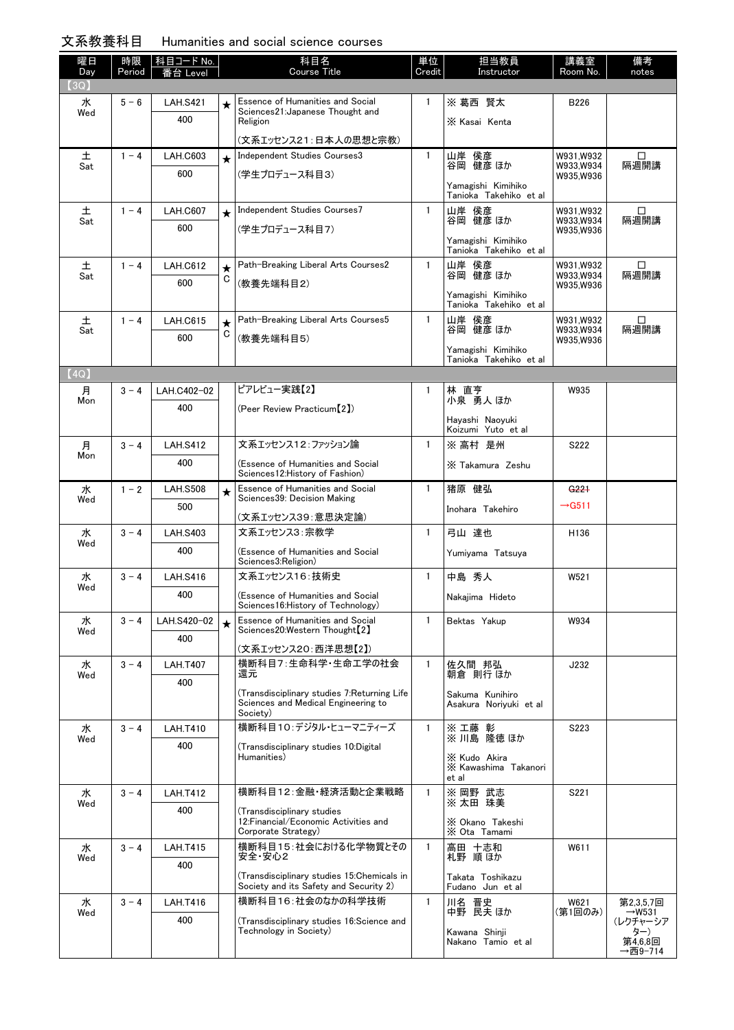## 文系教養科目 Humanities and social science courses

| 曜日<br>Day | 時限<br>Period | │科目コード No. │<br>番台 Level |         | 科目名<br><b>Course Title</b>                                                                      | 単位<br>Credit | 担当教員<br>Instructor                            | 講義室<br>Room No.        | 備考<br>notes        |
|-----------|--------------|--------------------------|---------|-------------------------------------------------------------------------------------------------|--------------|-----------------------------------------------|------------------------|--------------------|
| (3Q)      |              |                          |         |                                                                                                 |              |                                               |                        |                    |
| 水<br>Wed  | $5 - 6$      | <b>LAH.S421</b>          | $\star$ | Essence of Humanities and Social<br>Sciences21: Japanese Thought and                            | 1            | ※ 葛西 賢太                                       | B226                   |                    |
|           |              | 400                      |         | Religion                                                                                        |              | X Kasai Kenta                                 |                        |                    |
|           |              |                          |         | (文系エッセンス21:日本人の思想と宗教)                                                                           |              |                                               |                        |                    |
| 土<br>Sat  | $1 - 4$      | <b>LAH.C603</b>          | $\star$ | Independent Studies Courses3                                                                    | $\mathbf{1}$ | 山岸 侯彦<br>谷岡 健彦 ほか                             | W931.W932<br>W933,W934 | □<br>隔週開講          |
|           |              | 600                      |         | (学生プロデュース科目3)                                                                                   |              | Yamagishi Kimihiko                            | W935,W936              |                    |
|           |              |                          |         |                                                                                                 |              | Tanioka Takehiko et al                        |                        |                    |
| 土<br>Sat  | $1 - 4$      | <b>LAH.C607</b>          | $\star$ | Independent Studies Courses7                                                                    | $\mathbf{1}$ | 山岸 侯彦<br>谷岡 健彦 ほか                             | W931,W932<br>W933,W934 | □<br>隔週開講          |
|           |              | 600                      |         | (学生プロデュース科目7)                                                                                   |              | Yamagishi Kimihiko<br>Tanioka Takehiko et al  | W935,W936              |                    |
| 土         | $1 - 4$      | <b>LAH.C612</b>          | $\star$ | Path-Breaking Liberal Arts Courses2                                                             | $\mathbf{1}$ | 山岸 侯彦                                         | W931,W932              | □                  |
| Sat       |              | 600                      | C       | (教養先端科目2)                                                                                       |              | 谷岡 健彦 ほか                                      | W933,W934<br>W935,W936 | 隔週開講               |
|           |              |                          |         |                                                                                                 |              | Yamagishi Kimihiko<br>Tanioka Takehiko et al  |                        |                    |
| 土<br>Sat  | $1 - 4$      | <b>LAH.C615</b>          | $\star$ | Path-Breaking Liberal Arts Courses5                                                             | $\mathbf{1}$ | 山岸 侯彦<br>谷岡 健彦 ほか                             | W931,W932<br>W933.W934 | □<br>隔週開講          |
|           |              | 600                      | C       | (教養先端科目5)                                                                                       |              | Yamagishi Kimihiko                            | W935,W936              |                    |
|           |              |                          |         |                                                                                                 |              | Tanioka Takehiko et al                        |                        |                    |
| (4Q)      |              |                          |         |                                                                                                 |              |                                               |                        |                    |
| 月<br>Mon  | $3 - 4$      | LAH.C402-02              |         | ピアレビュー実践【2】                                                                                     | 1.           | 林 直亨<br>小泉 勇人 ほか                              | W935                   |                    |
|           |              | 400                      |         | (Peer Review Practicum [2])                                                                     |              | Hayashi Naoyuki                               |                        |                    |
|           |              |                          |         |                                                                                                 |              | Koizumi Yuto et al                            |                        |                    |
| 月<br>Mon  | $3 - 4$      | <b>LAH.S412</b>          |         | 文系エッセンス12:ファッション論                                                                               | $\mathbf{1}$ | ※ 高村 是州                                       | S222                   |                    |
|           |              | 400                      |         | (Essence of Humanities and Social<br>Sciences12: History of Fashion)                            |              | X Takamura Zeshu                              |                        |                    |
| 水<br>Wed  | $1 - 2$      | <b>LAH.S508</b>          |         | Essence of Humanities and Social<br>Sciences39: Decision Making                                 | $\mathbf{1}$ | 猪原 健弘                                         | G221                   |                    |
|           |              | 500                      |         | (文系エッセンス39:意思決定論)                                                                               |              | Inohara Takehiro                              | $\rightarrow$ G511     |                    |
| 水         | $3 - 4$      | <b>LAH.S403</b>          |         | 文系エッセンス3:宗教学                                                                                    | $\mathbf{1}$ | 弓山 達也                                         | H136                   |                    |
| Wed       |              | 400                      |         | (Essence of Humanities and Social                                                               |              | Yumiyama Tatsuya                              |                        |                    |
|           |              |                          |         | Sciences3:Religion)                                                                             |              |                                               |                        |                    |
| 水<br>Wed  | $3 - 4$      | <b>LAH.S416</b>          |         | 文系エッセンス16:技術史                                                                                   | $\mathbf{1}$ | 中島 秀人                                         | W521                   |                    |
|           |              | 400                      |         | (Essence of Humanities and Social<br>Sciences16: History of Technology)                         |              | Nakajima Hideto                               |                        |                    |
| 水<br>Wed  | $3 - 4$      | LAH.S420-02              |         | <b>Essence of Humanities and Social</b><br>Sciences20:Western Thought <sup>[2]</sup>            | 1            | Bektas Yakup                                  | W934                   |                    |
|           |              | 400                      |         | (文系エッセンス20:西洋思想【2】)                                                                             |              |                                               |                        |                    |
| 水         | $3 - 4$      | <b>LAH.T407</b>          |         | 横断科目7:生命科学·生命工学の社会                                                                              | $\mathbf{1}$ | 佐久間 邦弘                                        | J232                   |                    |
| Wed       |              | 400                      |         | 還元                                                                                              |              | 朝倉 則行 ほか                                      |                        |                    |
|           |              |                          |         | (Transdisciplinary studies 7: Returning Life<br>Sciences and Medical Engineering to<br>Society) |              | Sakuma Kunihiro<br>Asakura Noriyuki et al     |                        |                    |
| 水         | $3 - 4$      | <b>LAH.T410</b>          |         | 横断科目10:デジタル・ヒューマニティーズ                                                                           | $\mathbf{1}$ | ※工藤 彰                                         | S223                   |                    |
| Wed       |              | 400                      |         | (Transdisciplinary studies 10:Digital                                                           |              | ※川島 隆徳 ほか                                     |                        |                    |
|           |              |                          |         | Humanities)                                                                                     |              | X Kudo Akira<br>X Kawashima Takanori<br>et al |                        |                    |
| 水         | $3 - 4$      | <b>LAH.T412</b>          |         | 横断科目12:金融・経済活動と企業戦略                                                                             | $\mathbf{1}$ | ※ 岡野 武志<br>※ 太田 珠美                            | S221                   |                    |
| Wed       |              | 400                      |         | (Transdisciplinary studies                                                                      |              |                                               |                        |                    |
|           |              |                          |         | 12: Financial/Economic Activities and<br>Corporate Strategy)                                    |              | X Okano Takeshi<br>X Ota Tamami               |                        |                    |
| 水         | $3 - 4$      | <b>LAH.T415</b>          |         | 横断科目15:社会における化学物質とその                                                                            | $\mathbf{1}$ | 高田 十志和                                        | W611                   |                    |
| Wed       |              | 400                      |         | 安全・安心2                                                                                          |              | 札野 順ほか                                        |                        |                    |
|           |              |                          |         | (Transdisciplinary studies 15:Chemicals in<br>Society and its Safety and Security 2)            |              | Takata Toshikazu<br>Fudano Jun et al          |                        |                    |
| 水<br>Wed  | $3 - 4$      | <b>LAH.T416</b>          |         | 横断科目16:社会のなかの科学技術                                                                               | 1            | 川名 晋史<br>中野 民夫 ほか                             | W621<br>(第1回のみ)        | 第2.3.5.7回<br>→W531 |
|           |              | 400                      |         | (Transdisciplinary studies 16:Science and<br>Technology in Society)                             |              | Kawana Shinji                                 |                        | (レクチャーシア<br>ター)    |
|           |              |                          |         |                                                                                                 |              | Nakano Tamio et al                            |                        | 第4,6,8回<br>→西9–714 |